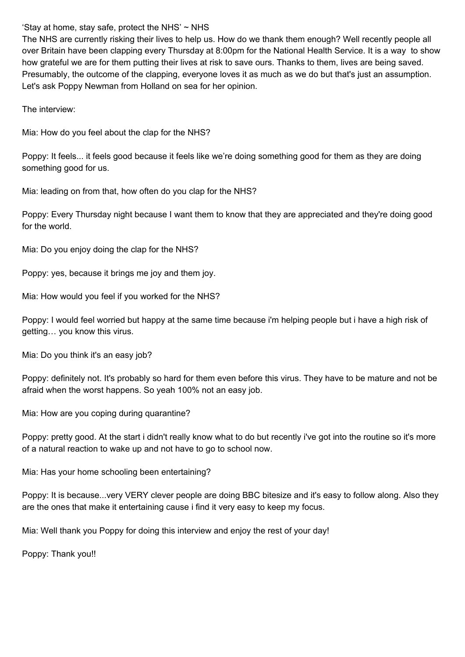'Stay at home, stay safe, protect the NHS'  $\sim$  NHS

The NHS are currently risking their lives to help us. How do we thank them enough? Well recently people all over Britain have been clapping every Thursday at 8:00pm for the National Health Service. It is a way to show how grateful we are for them putting their lives at risk to save ours. Thanks to them, lives are being saved. Presumably, the outcome of the clapping, everyone loves it as much as we do but that's just an assumption. Let's ask Poppy Newman from Holland on sea for her opinion.

The interview:

Mia: How do you feel about the clap for the NHS?

Poppy: It feels... it feels good because it feels like we're doing something good for them as they are doing something good for us.

Mia: leading on from that, how often do you clap for the NHS?

Poppy: Every Thursday night because I want them to know that they are appreciated and they're doing good for the world.

Mia: Do you enjoy doing the clap for the NHS?

Poppy: yes, because it brings me joy and them joy.

Mia: How would you feel if you worked for the NHS?

Poppy: I would feel worried but happy at the same time because i'm helping people but i have a high risk of getting… you know this virus.

Mia: Do you think it's an easy job?

Poppy: definitely not. It's probably so hard for them even before this virus. They have to be mature and not be afraid when the worst happens. So yeah 100% not an easy job.

Mia: How are you coping during quarantine?

Poppy: pretty good. At the start i didn't really know what to do but recently i've got into the routine so it's more of a natural reaction to wake up and not have to go to school now.

Mia: Has your home schooling been entertaining?

Poppy: It is because...very VERY clever people are doing BBC bitesize and it's easy to follow along. Also they are the ones that make it entertaining cause i find it very easy to keep my focus.

Mia: Well thank you Poppy for doing this interview and enjoy the rest of your day!

Poppy: Thank you!!